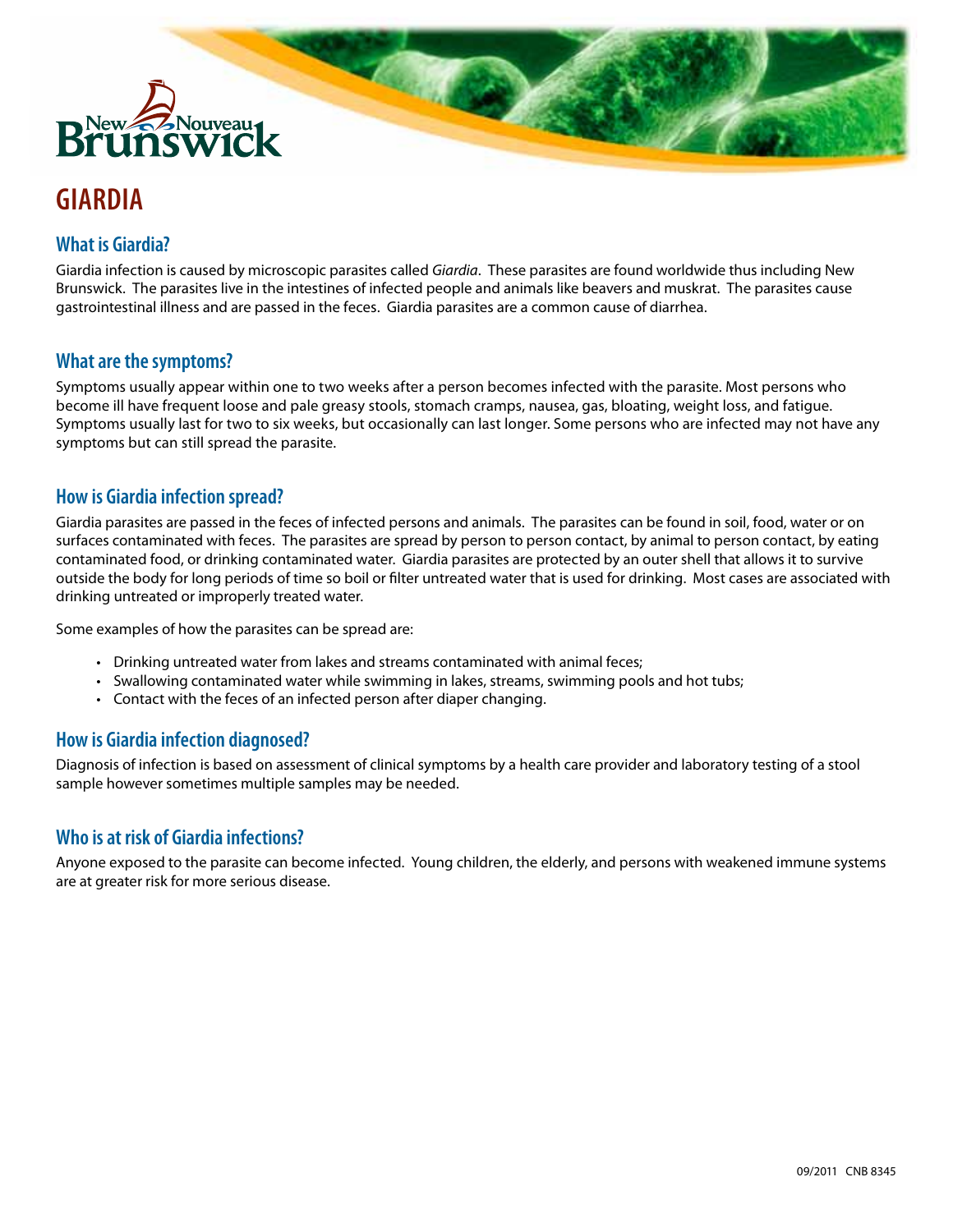

# **GIARDIA**

## **What is Giardia?**

Giardia infection is caused by microscopic parasites called *Giardia*. These parasites are found worldwide thus including New Brunswick. The parasites live in the intestines of infected people and animals like beavers and muskrat. The parasites cause gastrointestinal illness and are passed in the feces. Giardia parasites are a common cause of diarrhea.

## **What are the symptoms?**

Symptoms usually appear within one to two weeks after a person becomes infected with the parasite. Most persons who become ill have frequent loose and pale greasy stools, stomach cramps, nausea, gas, bloating, weight loss, and fatigue. Symptoms usually last for two to six weeks, but occasionally can last longer. Some persons who are infected may not have any symptoms but can still spread the parasite.

#### **How is Giardia infection spread?**

Giardia parasites are passed in the feces of infected persons and animals. The parasites can be found in soil, food, water or on surfaces contaminated with feces. The parasites are spread by person to person contact, by animal to person contact, by eating contaminated food, or drinking contaminated water. Giardia parasites are protected by an outer shell that allows it to survive outside the body for long periods of time so boil or filter untreated water that is used for drinking. Most cases are associated with drinking untreated or improperly treated water.

Some examples of how the parasites can be spread are:

- Drinking untreated water from lakes and streams contaminated with animal feces;
- Swallowing contaminated water while swimming in lakes, streams, swimming pools and hot tubs;
- Contact with the feces of an infected person after diaper changing.

## **How is Giardia infection diagnosed?**

Diagnosis of infection is based on assessment of clinical symptoms by a health care provider and laboratory testing of a stool sample however sometimes multiple samples may be needed.

## **Who is at risk of Giardia infections?**

Anyone exposed to the parasite can become infected. Young children, the elderly, and persons with weakened immune systems are at greater risk for more serious disease.